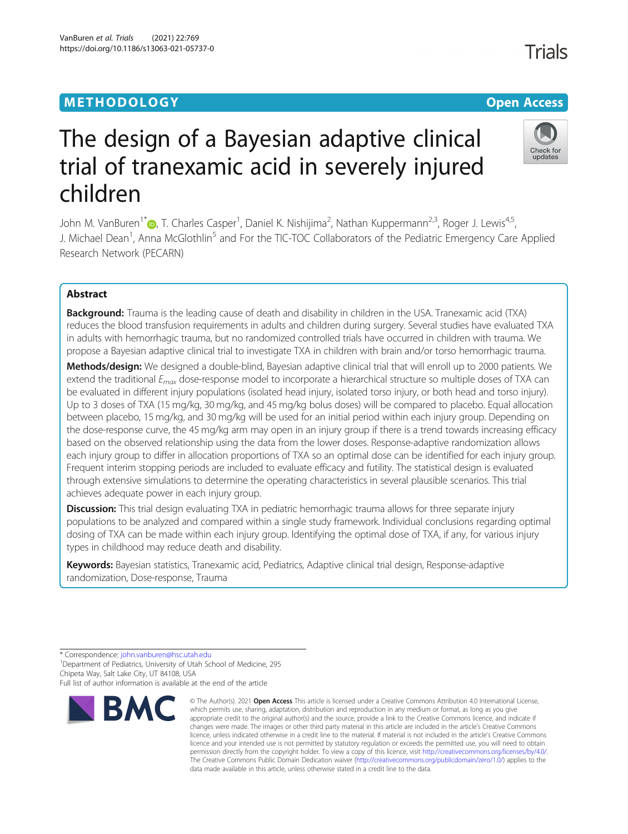# **METHODOLOGY CONSUMING ACCESS CONSUMING ACCESS**

# The design of a Bayesian adaptive clinical trial of tranexamic acid in severely injured children

John M. VanBuren<sup>1\*</sup> (**D**, T. Charles Casper<sup>1</sup>, Daniel K. Nishijima<sup>2</sup>, Nathan Kuppermann<sup>2,3</sup>, Roger J. Lewis<sup>4,5</sup>, J. Michael Dean<sup>1</sup>, Anna McGlothlin<sup>5</sup> and For the TIC-TOC Collaborators of the Pediatric Emergency Care Applied Research Network (PECARN)

# Abstract

**Background:** Trauma is the leading cause of death and disability in children in the USA. Tranexamic acid (TXA) reduces the blood transfusion requirements in adults and children during surgery. Several studies have evaluated TXA in adults with hemorrhagic trauma, but no randomized controlled trials have occurred in children with trauma. We propose a Bayesian adaptive clinical trial to investigate TXA in children with brain and/or torso hemorrhagic trauma.

Methods/design: We designed a double-blind, Bayesian adaptive clinical trial that will enroll up to 2000 patients. We extend the traditional  $E_{max}$  dose-response model to incorporate a hierarchical structure so multiple doses of TXA can be evaluated in different injury populations (isolated head injury, isolated torso injury, or both head and torso injury). Up to 3 doses of TXA (15 mg/kg, 30 mg/kg, and 45 mg/kg bolus doses) will be compared to placebo. Equal allocation between placebo, 15 mg/kg, and 30 mg/kg will be used for an initial period within each injury group. Depending on the dose-response curve, the 45 mg/kg arm may open in an injury group if there is a trend towards increasing efficacy based on the observed relationship using the data from the lower doses. Response-adaptive randomization allows each injury group to differ in allocation proportions of TXA so an optimal dose can be identified for each injury group. Frequent interim stopping periods are included to evaluate efficacy and futility. The statistical design is evaluated through extensive simulations to determine the operating characteristics in several plausible scenarios. This trial achieves adequate power in each injury group.

**Discussion:** This trial design evaluating TXA in pediatric hemorrhagic trauma allows for three separate injury populations to be analyzed and compared within a single study framework. Individual conclusions regarding optimal dosing of TXA can be made within each injury group. Identifying the optimal dose of TXA, if any, for various injury types in childhood may reduce death and disability.

Keywords: Bayesian statistics, Tranexamic acid, Pediatrics, Adaptive clinical trial design, Response-adaptive randomization, Dose-response, Trauma

**BMC** 

<sup>1</sup> Department of Pediatrics, University of Utah School of Medicine, 295 Chipeta Way, Salt Lake City, UT 84108, USA

Full list of author information is available at the end of the article





<sup>\*</sup> Correspondence: [john.vanburen@hsc.utah.edu](mailto:john.vanburen@hsc.utah.edu) <sup>1</sup>

<sup>©</sup> The Author(s), 2021 **Open Access** This article is licensed under a Creative Commons Attribution 4.0 International License, which permits use, sharing, adaptation, distribution and reproduction in any medium or format, as long as you give appropriate credit to the original author(s) and the source, provide a link to the Creative Commons licence, and indicate if changes were made. The images or other third party material in this article are included in the article's Creative Commons licence, unless indicated otherwise in a credit line to the material. If material is not included in the article's Creative Commons licence and your intended use is not permitted by statutory regulation or exceeds the permitted use, you will need to obtain permission directly from the copyright holder. To view a copy of this licence, visit [http://creativecommons.org/licenses/by/4.0/.](http://creativecommons.org/licenses/by/4.0/) The Creative Commons Public Domain Dedication waiver [\(http://creativecommons.org/publicdomain/zero/1.0/](http://creativecommons.org/publicdomain/zero/1.0/)) applies to the data made available in this article, unless otherwise stated in a credit line to the data.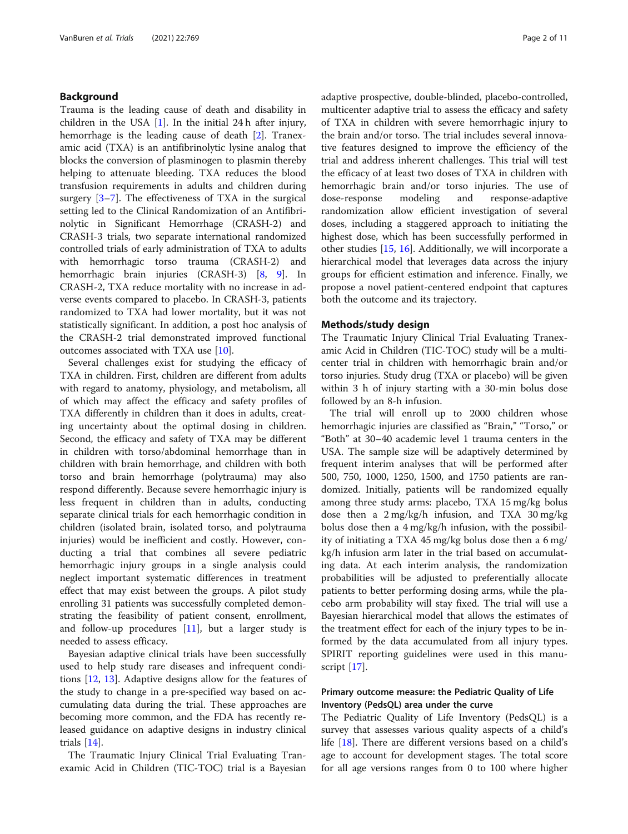# Background

Trauma is the leading cause of death and disability in children in the USA  $[1]$  $[1]$ . In the initial 24 h after injury, hemorrhage is the leading cause of death [[2\]](#page-9-0). Tranexamic acid (TXA) is an antifibrinolytic lysine analog that blocks the conversion of plasminogen to plasmin thereby helping to attenuate bleeding. TXA reduces the blood transfusion requirements in adults and children during surgery  $[3-7]$  $[3-7]$  $[3-7]$  $[3-7]$ . The effectiveness of TXA in the surgical setting led to the Clinical Randomization of an Antifibrinolytic in Significant Hemorrhage (CRASH-2) and CRASH-3 trials, two separate international randomized controlled trials of early administration of TXA to adults with hemorrhagic torso trauma (CRASH-2) and hemorrhagic brain injuries (CRASH-3) [\[8](#page-9-0), [9](#page-9-0)]. In CRASH-2, TXA reduce mortality with no increase in adverse events compared to placebo. In CRASH-3, patients randomized to TXA had lower mortality, but it was not statistically significant. In addition, a post hoc analysis of the CRASH-2 trial demonstrated improved functional outcomes associated with TXA use [[10\]](#page-9-0).

Several challenges exist for studying the efficacy of TXA in children. First, children are different from adults with regard to anatomy, physiology, and metabolism, all of which may affect the efficacy and safety profiles of TXA differently in children than it does in adults, creating uncertainty about the optimal dosing in children. Second, the efficacy and safety of TXA may be different in children with torso/abdominal hemorrhage than in children with brain hemorrhage, and children with both torso and brain hemorrhage (polytrauma) may also respond differently. Because severe hemorrhagic injury is less frequent in children than in adults, conducting separate clinical trials for each hemorrhagic condition in children (isolated brain, isolated torso, and polytrauma injuries) would be inefficient and costly. However, conducting a trial that combines all severe pediatric hemorrhagic injury groups in a single analysis could neglect important systematic differences in treatment effect that may exist between the groups. A pilot study enrolling 31 patients was successfully completed demonstrating the feasibility of patient consent, enrollment, and follow-up procedures  $[11]$  $[11]$ , but a larger study is needed to assess efficacy.

Bayesian adaptive clinical trials have been successfully used to help study rare diseases and infrequent conditions [\[12](#page-9-0), [13\]](#page-10-0). Adaptive designs allow for the features of the study to change in a pre-specified way based on accumulating data during the trial. These approaches are becoming more common, and the FDA has recently released guidance on adaptive designs in industry clinical trials [[14\]](#page-10-0).

The Traumatic Injury Clinical Trial Evaluating Tranexamic Acid in Children (TIC-TOC) trial is a Bayesian adaptive prospective, double-blinded, placebo-controlled, multicenter adaptive trial to assess the efficacy and safety of TXA in children with severe hemorrhagic injury to the brain and/or torso. The trial includes several innovative features designed to improve the efficiency of the trial and address inherent challenges. This trial will test the efficacy of at least two doses of TXA in children with hemorrhagic brain and/or torso injuries. The use of dose-response modeling and response-adaptive randomization allow efficient investigation of several doses, including a staggered approach to initiating the highest dose, which has been successfully performed in other studies [[15,](#page-10-0) [16\]](#page-10-0). Additionally, we will incorporate a hierarchical model that leverages data across the injury groups for efficient estimation and inference. Finally, we propose a novel patient-centered endpoint that captures both the outcome and its trajectory.

#### Methods/study design

The Traumatic Injury Clinical Trial Evaluating Tranexamic Acid in Children (TIC-TOC) study will be a multicenter trial in children with hemorrhagic brain and/or torso injuries. Study drug (TXA or placebo) will be given within 3 h of injury starting with a 30-min bolus dose followed by an 8-h infusion.

The trial will enroll up to 2000 children whose hemorrhagic injuries are classified as "Brain," "Torso," or "Both" at 30–40 academic level 1 trauma centers in the USA. The sample size will be adaptively determined by frequent interim analyses that will be performed after 500, 750, 1000, 1250, 1500, and 1750 patients are randomized. Initially, patients will be randomized equally among three study arms: placebo, TXA 15 mg/kg bolus dose then a 2 mg/kg/h infusion, and TXA 30 mg/kg bolus dose then a 4 mg/kg/h infusion, with the possibility of initiating a TXA 45 mg/kg bolus dose then a 6 mg/ kg/h infusion arm later in the trial based on accumulating data. At each interim analysis, the randomization probabilities will be adjusted to preferentially allocate patients to better performing dosing arms, while the placebo arm probability will stay fixed. The trial will use a Bayesian hierarchical model that allows the estimates of the treatment effect for each of the injury types to be informed by the data accumulated from all injury types. SPIRIT reporting guidelines were used in this manuscript [[17](#page-10-0)].

# Primary outcome measure: the Pediatric Quality of Life Inventory (PedsQL) area under the curve

The Pediatric Quality of Life Inventory (PedsQL) is a survey that assesses various quality aspects of a child's life [\[18\]](#page-10-0). There are different versions based on a child's age to account for development stages. The total score for all age versions ranges from 0 to 100 where higher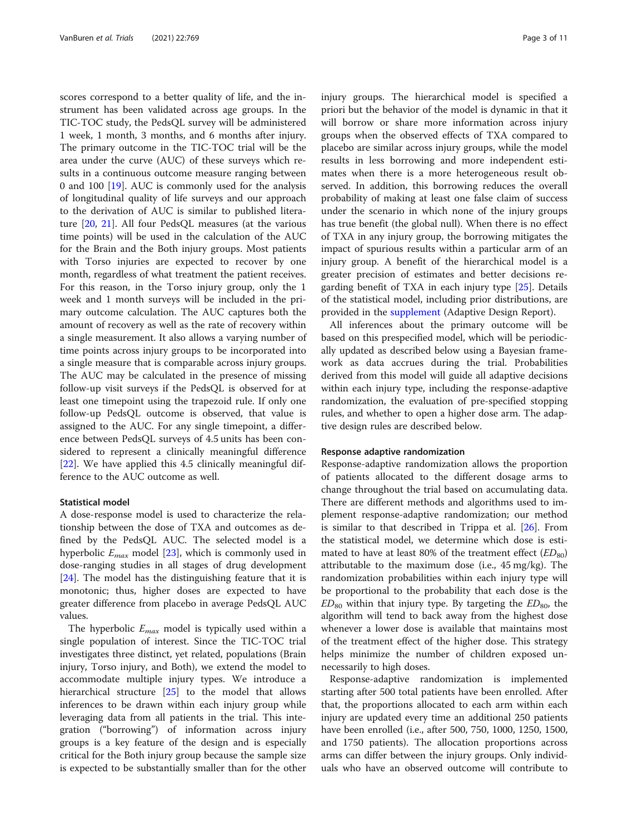scores correspond to a better quality of life, and the instrument has been validated across age groups. In the TIC-TOC study, the PedsQL survey will be administered 1 week, 1 month, 3 months, and 6 months after injury. The primary outcome in the TIC-TOC trial will be the area under the curve (AUC) of these surveys which results in a continuous outcome measure ranging between 0 and 100 [\[19](#page-10-0)]. AUC is commonly used for the analysis of longitudinal quality of life surveys and our approach to the derivation of AUC is similar to published literature [\[20](#page-10-0), [21\]](#page-10-0). All four PedsQL measures (at the various time points) will be used in the calculation of the AUC for the Brain and the Both injury groups. Most patients with Torso injuries are expected to recover by one month, regardless of what treatment the patient receives. For this reason, in the Torso injury group, only the 1 week and 1 month surveys will be included in the primary outcome calculation. The AUC captures both the amount of recovery as well as the rate of recovery within a single measurement. It also allows a varying number of time points across injury groups to be incorporated into a single measure that is comparable across injury groups. The AUC may be calculated in the presence of missing follow-up visit surveys if the PedsQL is observed for at least one timepoint using the trapezoid rule. If only one follow-up PedsQL outcome is observed, that value is assigned to the AUC. For any single timepoint, a difference between PedsQL surveys of 4.5 units has been considered to represent a clinically meaningful difference [[22\]](#page-10-0). We have applied this 4.5 clinically meaningful difference to the AUC outcome as well.

### Statistical model

A dose-response model is used to characterize the relationship between the dose of TXA and outcomes as defined by the PedsQL AUC. The selected model is a hyperbolic  $E_{max}$  model [\[23](#page-10-0)], which is commonly used in dose-ranging studies in all stages of drug development [[24\]](#page-10-0). The model has the distinguishing feature that it is monotonic; thus, higher doses are expected to have greater difference from placebo in average PedsQL AUC values.

The hyperbolic  $E_{max}$  model is typically used within a single population of interest. Since the TIC-TOC trial investigates three distinct, yet related, populations (Brain injury, Torso injury, and Both), we extend the model to accommodate multiple injury types. We introduce a hierarchical structure [\[25](#page-10-0)] to the model that allows inferences to be drawn within each injury group while leveraging data from all patients in the trial. This integration ("borrowing") of information across injury groups is a key feature of the design and is especially critical for the Both injury group because the sample size is expected to be substantially smaller than for the other injury groups. The hierarchical model is specified a priori but the behavior of the model is dynamic in that it will borrow or share more information across injury groups when the observed effects of TXA compared to placebo are similar across injury groups, while the model results in less borrowing and more independent estimates when there is a more heterogeneous result observed. In addition, this borrowing reduces the overall probability of making at least one false claim of success under the scenario in which none of the injury groups has true benefit (the global null). When there is no effect of TXA in any injury group, the borrowing mitigates the impact of spurious results within a particular arm of an injury group. A benefit of the hierarchical model is a greater precision of estimates and better decisions regarding benefit of TXA in each injury type [[25\]](#page-10-0). Details of the statistical model, including prior distributions, are provided in the [supplement](#page-9-0) (Adaptive Design Report).

All inferences about the primary outcome will be based on this prespecified model, which will be periodically updated as described below using a Bayesian framework as data accrues during the trial. Probabilities derived from this model will guide all adaptive decisions within each injury type, including the response-adaptive randomization, the evaluation of pre-specified stopping rules, and whether to open a higher dose arm. The adaptive design rules are described below.

#### Response adaptive randomization

Response-adaptive randomization allows the proportion of patients allocated to the different dosage arms to change throughout the trial based on accumulating data. There are different methods and algorithms used to implement response-adaptive randomization; our method is similar to that described in Trippa et al. [[26\]](#page-10-0). From the statistical model, we determine which dose is estimated to have at least 80% of the treatment effect  $(ED_{80})$ attributable to the maximum dose (i.e., 45 mg/kg). The randomization probabilities within each injury type will be proportional to the probability that each dose is the  $ED_{80}$  within that injury type. By targeting the  $ED_{80}$ , the algorithm will tend to back away from the highest dose whenever a lower dose is available that maintains most of the treatment effect of the higher dose. This strategy helps minimize the number of children exposed unnecessarily to high doses.

Response-adaptive randomization is implemented starting after 500 total patients have been enrolled. After that, the proportions allocated to each arm within each injury are updated every time an additional 250 patients have been enrolled (i.e., after 500, 750, 1000, 1250, 1500, and 1750 patients). The allocation proportions across arms can differ between the injury groups. Only individuals who have an observed outcome will contribute to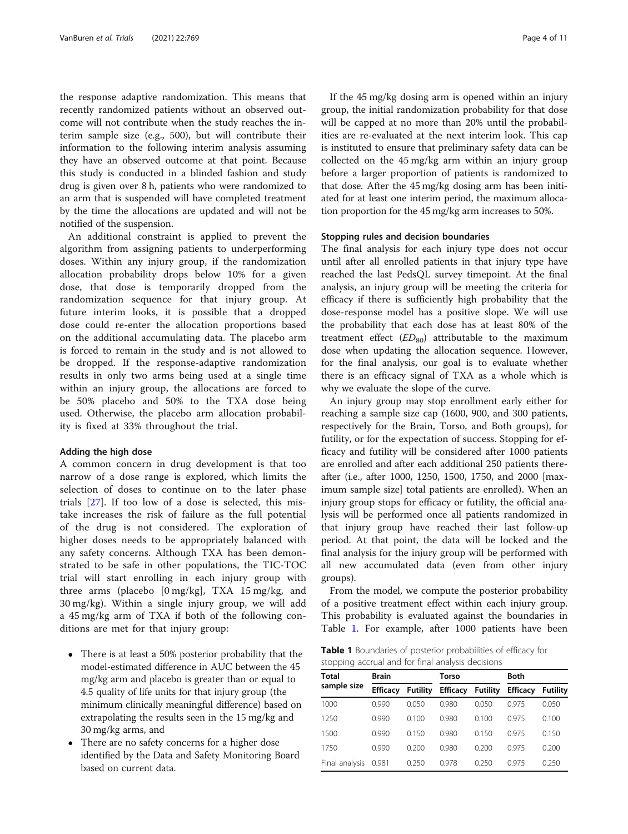the response adaptive randomization. This means that recently randomized patients without an observed outcome will not contribute when the study reaches the interim sample size (e.g., 500), but will contribute their information to the following interim analysis assuming they have an observed outcome at that point. Because this study is conducted in a blinded fashion and study drug is given over 8 h, patients who were randomized to an arm that is suspended will have completed treatment by the time the allocations are updated and will not be notified of the suspension.

An additional constraint is applied to prevent the algorithm from assigning patients to underperforming doses. Within any injury group, if the randomization allocation probability drops below 10% for a given dose, that dose is temporarily dropped from the randomization sequence for that injury group. At future interim looks, it is possible that a dropped dose could re-enter the allocation proportions based on the additional accumulating data. The placebo arm is forced to remain in the study and is not allowed to be dropped. If the response-adaptive randomization results in only two arms being used at a single time within an injury group, the allocations are forced to be 50% placebo and 50% to the TXA dose being used. Otherwise, the placebo arm allocation probability is fixed at 33% throughout the trial.

## Adding the high dose

A common concern in drug development is that too narrow of a dose range is explored, which limits the selection of doses to continue on to the later phase trials [\[27](#page-10-0)]. If too low of a dose is selected, this mistake increases the risk of failure as the full potential of the drug is not considered. The exploration of higher doses needs to be appropriately balanced with any safety concerns. Although TXA has been demonstrated to be safe in other populations, the TIC-TOC trial will start enrolling in each injury group with three arms (placebo [0 mg/kg], TXA 15 mg/kg, and 30 mg/kg). Within a single injury group, we will add a 45 mg/kg arm of TXA if both of the following conditions are met for that injury group:

- There is at least a 50% posterior probability that the model-estimated difference in AUC between the 45 mg/kg arm and placebo is greater than or equal to 4.5 quality of life units for that injury group (the minimum clinically meaningful difference) based on extrapolating the results seen in the 15 mg/kg and 30 mg/kg arms, and
- There are no safety concerns for a higher dose identified by the Data and Safety Monitoring Board based on current data.

If the 45 mg/kg dosing arm is opened within an injury group, the initial randomization probability for that dose will be capped at no more than 20% until the probabilities are re-evaluated at the next interim look. This cap is instituted to ensure that preliminary safety data can be collected on the 45 mg/kg arm within an injury group before a larger proportion of patients is randomized to that dose. After the 45 mg/kg dosing arm has been initiated for at least one interim period, the maximum allocation proportion for the 45 mg/kg arm increases to 50%.

## Stopping rules and decision boundaries

The final analysis for each injury type does not occur until after all enrolled patients in that injury type have reached the last PedsQL survey timepoint. At the final analysis, an injury group will be meeting the criteria for efficacy if there is sufficiently high probability that the dose-response model has a positive slope. We will use the probability that each dose has at least 80% of the treatment effect  $(ED_{80})$  attributable to the maximum dose when updating the allocation sequence. However, for the final analysis, our goal is to evaluate whether there is an efficacy signal of TXA as a whole which is why we evaluate the slope of the curve.

An injury group may stop enrollment early either for reaching a sample size cap (1600, 900, and 300 patients, respectively for the Brain, Torso, and Both groups), for futility, or for the expectation of success. Stopping for efficacy and futility will be considered after 1000 patients are enrolled and after each additional 250 patients thereafter (i.e., after 1000, 1250, 1500, 1750, and 2000 [maximum sample size] total patients are enrolled). When an injury group stops for efficacy or futility, the official analysis will be performed once all patients randomized in that injury group have reached their last follow-up period. At that point, the data will be locked and the final analysis for the injury group will be performed with all new accumulated data (even from other injury groups).

From the model, we compute the posterior probability of a positive treatment effect within each injury group. This probability is evaluated against the boundaries in Table 1. For example, after 1000 patients have been

Table 1 Boundaries of posterior probabilities of efficacy for stopping accrual and for final analysis decisions

| Total          | <b>Brain</b>    |                 | Torso           |                 | <b>Both</b>     |                 |  |
|----------------|-----------------|-----------------|-----------------|-----------------|-----------------|-----------------|--|
| sample size    | <b>Efficacy</b> | <b>Futility</b> | <b>Efficacy</b> | <b>Futility</b> | <b>Efficacy</b> | <b>Futility</b> |  |
| 1000           | 0.990           | 0.050           | 0.980           | 0.050           | 0975            | 0.050           |  |
| 1250           | 0.990           | 0.100           | 0.980           | 0.100           | 0975            | 0.100           |  |
| 1500           | 0.990           | 0150            | 0.980           | 0.150           | 0975            | 0.150           |  |
| 1750           | 0.990           | 0.200           | 0.980           | 0.200           | 0975            | 0.200           |  |
| Final analysis | 0.981           | 0.250           | 0.978           | 0.250           | 0975            | 0.250           |  |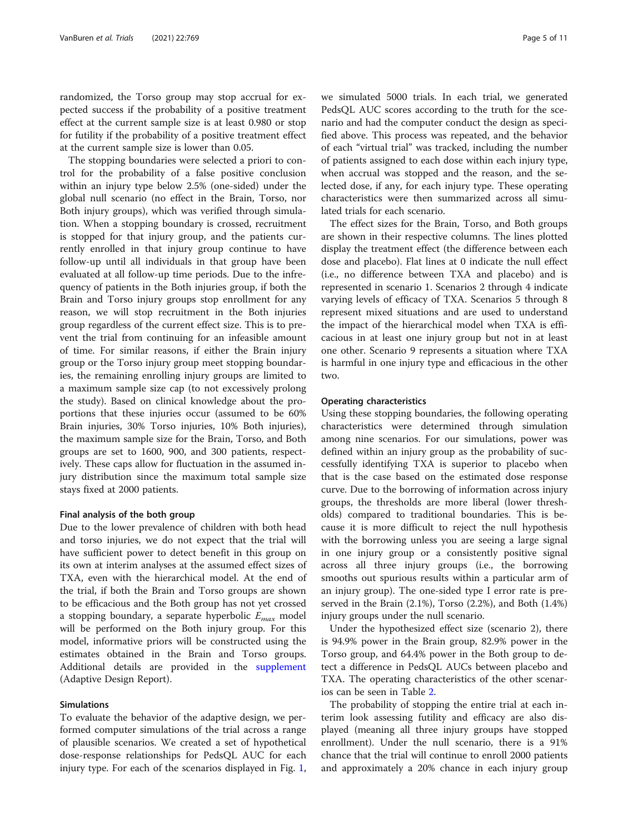randomized, the Torso group may stop accrual for expected success if the probability of a positive treatment effect at the current sample size is at least 0.980 or stop for futility if the probability of a positive treatment effect at the current sample size is lower than 0.05.

The stopping boundaries were selected a priori to control for the probability of a false positive conclusion within an injury type below 2.5% (one-sided) under the global null scenario (no effect in the Brain, Torso, nor Both injury groups), which was verified through simulation. When a stopping boundary is crossed, recruitment is stopped for that injury group, and the patients currently enrolled in that injury group continue to have follow-up until all individuals in that group have been evaluated at all follow-up time periods. Due to the infrequency of patients in the Both injuries group, if both the Brain and Torso injury groups stop enrollment for any reason, we will stop recruitment in the Both injuries group regardless of the current effect size. This is to prevent the trial from continuing for an infeasible amount of time. For similar reasons, if either the Brain injury group or the Torso injury group meet stopping boundaries, the remaining enrolling injury groups are limited to a maximum sample size cap (to not excessively prolong the study). Based on clinical knowledge about the proportions that these injuries occur (assumed to be 60% Brain injuries, 30% Torso injuries, 10% Both injuries), the maximum sample size for the Brain, Torso, and Both groups are set to 1600, 900, and 300 patients, respectively. These caps allow for fluctuation in the assumed injury distribution since the maximum total sample size stays fixed at 2000 patients.

#### Final analysis of the both group

Due to the lower prevalence of children with both head and torso injuries, we do not expect that the trial will have sufficient power to detect benefit in this group on its own at interim analyses at the assumed effect sizes of TXA, even with the hierarchical model. At the end of the trial, if both the Brain and Torso groups are shown to be efficacious and the Both group has not yet crossed a stopping boundary, a separate hyperbolic  $E_{max}$  model will be performed on the Both injury group. For this model, informative priors will be constructed using the estimates obtained in the Brain and Torso groups. Additional details are provided in the [supplement](#page-9-0) (Adaptive Design Report).

## Simulations

To evaluate the behavior of the adaptive design, we performed computer simulations of the trial across a range of plausible scenarios. We created a set of hypothetical dose-response relationships for PedsQL AUC for each injury type. For each of the scenarios displayed in Fig. [1](#page-5-0), we simulated 5000 trials. In each trial, we generated PedsQL AUC scores according to the truth for the scenario and had the computer conduct the design as specified above. This process was repeated, and the behavior of each "virtual trial" was tracked, including the number of patients assigned to each dose within each injury type, when accrual was stopped and the reason, and the selected dose, if any, for each injury type. These operating characteristics were then summarized across all simulated trials for each scenario.

The effect sizes for the Brain, Torso, and Both groups are shown in their respective columns. The lines plotted display the treatment effect (the difference between each dose and placebo). Flat lines at 0 indicate the null effect (i.e., no difference between TXA and placebo) and is represented in scenario 1. Scenarios 2 through 4 indicate varying levels of efficacy of TXA. Scenarios 5 through 8 represent mixed situations and are used to understand the impact of the hierarchical model when TXA is efficacious in at least one injury group but not in at least one other. Scenario 9 represents a situation where TXA is harmful in one injury type and efficacious in the other two.

# Operating characteristics

Using these stopping boundaries, the following operating characteristics were determined through simulation among nine scenarios. For our simulations, power was defined within an injury group as the probability of successfully identifying TXA is superior to placebo when that is the case based on the estimated dose response curve. Due to the borrowing of information across injury groups, the thresholds are more liberal (lower thresholds) compared to traditional boundaries. This is because it is more difficult to reject the null hypothesis with the borrowing unless you are seeing a large signal in one injury group or a consistently positive signal across all three injury groups (i.e., the borrowing smooths out spurious results within a particular arm of an injury group). The one-sided type I error rate is preserved in the Brain (2.1%), Torso (2.2%), and Both (1.4%) injury groups under the null scenario.

Under the hypothesized effect size (scenario 2), there is 94.9% power in the Brain group, 82.9% power in the Torso group, and 64.4% power in the Both group to detect a difference in PedsQL AUCs between placebo and TXA. The operating characteristics of the other scenarios can be seen in Table [2](#page-6-0).

The probability of stopping the entire trial at each interim look assessing futility and efficacy are also displayed (meaning all three injury groups have stopped enrollment). Under the null scenario, there is a 91% chance that the trial will continue to enroll 2000 patients and approximately a 20% chance in each injury group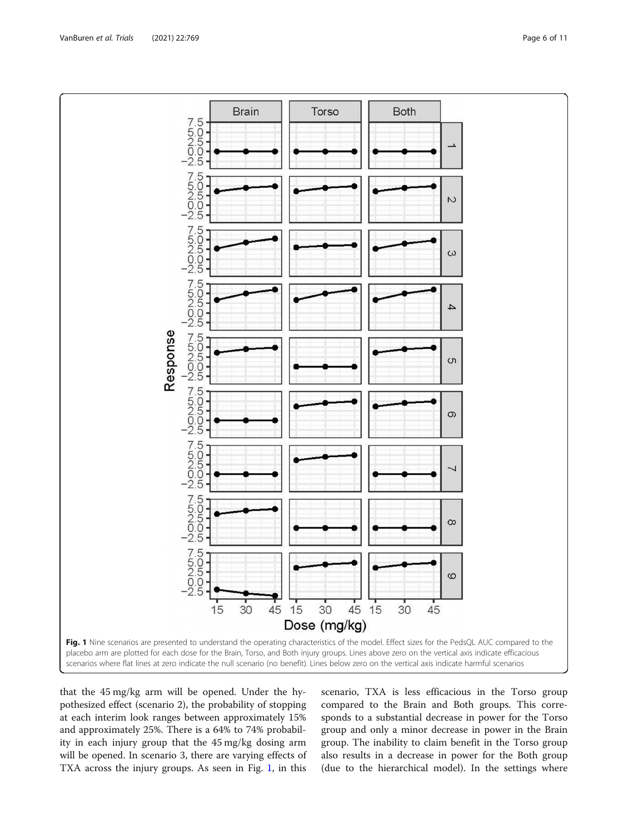<span id="page-5-0"></span>

that the 45 mg/kg arm will be opened. Under the hypothesized effect (scenario 2), the probability of stopping at each interim look ranges between approximately 15% and approximately 25%. There is a 64% to 74% probability in each injury group that the 45 mg/kg dosing arm will be opened. In scenario 3, there are varying effects of TXA across the injury groups. As seen in Fig. 1, in this

scenario, TXA is less efficacious in the Torso group compared to the Brain and Both groups. This corresponds to a substantial decrease in power for the Torso group and only a minor decrease in power in the Brain group. The inability to claim benefit in the Torso group also results in a decrease in power for the Both group (due to the hierarchical model). In the settings where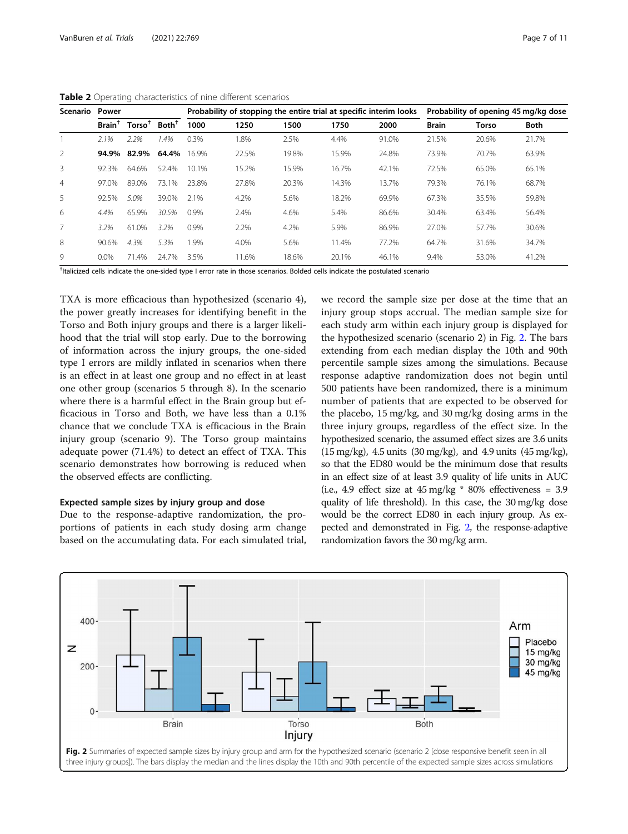<span id="page-6-0"></span>Table 2 Operating characteristics of nine different scenarios

| Scenario       | Power                    |              |                   | Probability of stopping the entire trial at specific interim looks |       |       |       |       | Probability of opening 45 mg/kg dose |              |       |
|----------------|--------------------------|--------------|-------------------|--------------------------------------------------------------------|-------|-------|-------|-------|--------------------------------------|--------------|-------|
|                | $\textsf{Brain}^\dagger$ | $T$ orso $†$ | Both <sup>†</sup> | 1000                                                               | 1250  | 1500  | 1750  | 2000  | <b>Brain</b>                         | <b>Torso</b> | Both  |
|                | 2.1%                     | 2.2%         | 1.4%              | 0.3%                                                               | 1.8%  | 2.5%  | 4.4%  | 91.0% | 21.5%                                | 20.6%        | 21.7% |
| 2              | 94.9%                    | 82.9%        | 64.4%             | 16.9%                                                              | 22.5% | 19.8% | 15.9% | 24.8% | 73.9%                                | 70.7%        | 63.9% |
| 3              | 92.3%                    | 64.6%        | 52.4%             | 10.1%                                                              | 15.2% | 15.9% | 16.7% | 42.1% | 72.5%                                | 65.0%        | 65.1% |
| $\overline{4}$ | 97.0%                    | 89.0%        | 73.1%             | 23.8%                                                              | 27.8% | 20.3% | 14.3% | 13.7% | 79.3%                                | 76.1%        | 68.7% |
| 5              | 92.5%                    | 5.0%         | 39.0%             | 2.1%                                                               | 4.2%  | 5.6%  | 18.2% | 69.9% | 67.3%                                | 35.5%        | 59.8% |
| 6              | 4.4%                     | 65.9%        | 30.5%             | 0.9%                                                               | 2.4%  | 4.6%  | 5.4%  | 86.6% | 30.4%                                | 63.4%        | 56.4% |
|                | 3.2%                     | 61.0%        | 3.2%              | 0.9%                                                               | 2.2%  | 4.2%  | 5.9%  | 86.9% | 27.0%                                | 57.7%        | 30.6% |
| 8              | 90.6%                    | 4.3%         | 5.3%              | 1.9%                                                               | 4.0%  | 5.6%  | 11.4% | 77.2% | 64.7%                                | 31.6%        | 34.7% |
| 9              | $0.0\%$                  | 71.4%        | 24.7%             | 3.5%                                                               | 11.6% | 18.6% | 20.1% | 46.1% | 9.4%                                 | 53.0%        | 41.2% |

<sup>†</sup>Italicized cells indicate the one-sided type I error rate in those scenarios. Bolded cells indicate the postulated scenario

TXA is more efficacious than hypothesized (scenario 4), the power greatly increases for identifying benefit in the Torso and Both injury groups and there is a larger likelihood that the trial will stop early. Due to the borrowing of information across the injury groups, the one-sided type I errors are mildly inflated in scenarios when there is an effect in at least one group and no effect in at least one other group (scenarios 5 through 8). In the scenario where there is a harmful effect in the Brain group but efficacious in Torso and Both, we have less than a 0.1% chance that we conclude TXA is efficacious in the Brain injury group (scenario 9). The Torso group maintains adequate power (71.4%) to detect an effect of TXA. This scenario demonstrates how borrowing is reduced when the observed effects are conflicting.

### Expected sample sizes by injury group and dose

Due to the response-adaptive randomization, the proportions of patients in each study dosing arm change based on the accumulating data. For each simulated trial,

we record the sample size per dose at the time that an injury group stops accrual. The median sample size for each study arm within each injury group is displayed for the hypothesized scenario (scenario 2) in Fig. 2. The bars extending from each median display the 10th and 90th percentile sample sizes among the simulations. Because response adaptive randomization does not begin until 500 patients have been randomized, there is a minimum number of patients that are expected to be observed for the placebo, 15 mg/kg, and 30 mg/kg dosing arms in the three injury groups, regardless of the effect size. In the hypothesized scenario, the assumed effect sizes are 3.6 units (15 mg/kg), 4.5 units (30 mg/kg), and 4.9 units (45 mg/kg), so that the ED80 would be the minimum dose that results in an effect size of at least 3.9 quality of life units in AUC (i.e., 4.9 effect size at  $45 \text{ mg/kg}$  \* 80% effectiveness = 3.9 quality of life threshold). In this case, the 30 mg/kg dose would be the correct ED80 in each injury group. As expected and demonstrated in Fig. 2, the response-adaptive randomization favors the 30 mg/kg arm.

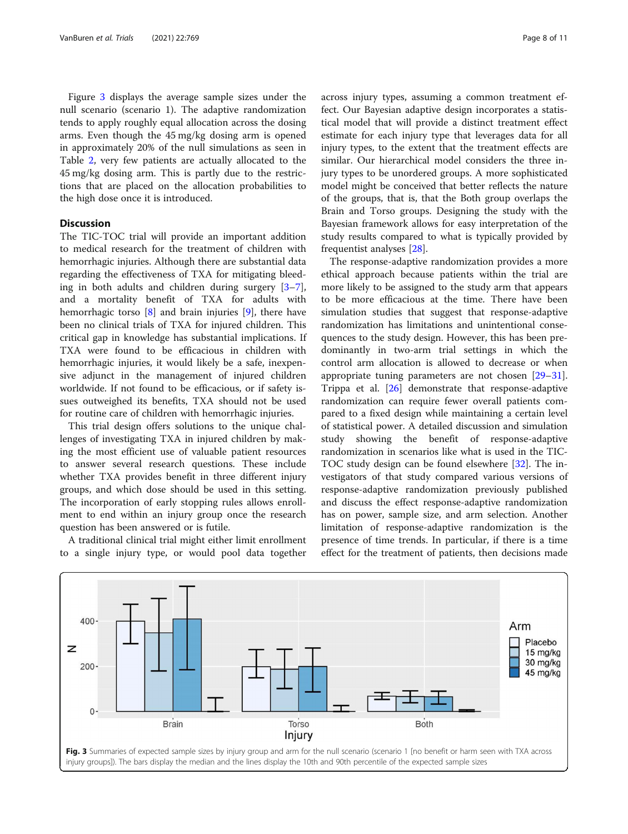Figure 3 displays the average sample sizes under the null scenario (scenario 1). The adaptive randomization tends to apply roughly equal allocation across the dosing arms. Even though the 45 mg/kg dosing arm is opened in approximately 20% of the null simulations as seen in Table [2](#page-6-0), very few patients are actually allocated to the 45 mg/kg dosing arm. This is partly due to the restrictions that are placed on the allocation probabilities to the high dose once it is introduced.

# **Discussion**

The TIC-TOC trial will provide an important addition to medical research for the treatment of children with hemorrhagic injuries. Although there are substantial data regarding the effectiveness of TXA for mitigating bleeding in both adults and children during surgery [\[3](#page-9-0)–[7](#page-9-0)], and a mortality benefit of TXA for adults with hemorrhagic torso [\[8](#page-9-0)] and brain injuries [\[9\]](#page-9-0), there have been no clinical trials of TXA for injured children. This critical gap in knowledge has substantial implications. If TXA were found to be efficacious in children with hemorrhagic injuries, it would likely be a safe, inexpensive adjunct in the management of injured children worldwide. If not found to be efficacious, or if safety issues outweighed its benefits, TXA should not be used for routine care of children with hemorrhagic injuries.

This trial design offers solutions to the unique challenges of investigating TXA in injured children by making the most efficient use of valuable patient resources to answer several research questions. These include whether TXA provides benefit in three different injury groups, and which dose should be used in this setting. The incorporation of early stopping rules allows enrollment to end within an injury group once the research question has been answered or is futile.

A traditional clinical trial might either limit enrollment to a single injury type, or would pool data together across injury types, assuming a common treatment effect. Our Bayesian adaptive design incorporates a statistical model that will provide a distinct treatment effect estimate for each injury type that leverages data for all injury types, to the extent that the treatment effects are similar. Our hierarchical model considers the three injury types to be unordered groups. A more sophisticated model might be conceived that better reflects the nature of the groups, that is, that the Both group overlaps the Brain and Torso groups. Designing the study with the Bayesian framework allows for easy interpretation of the study results compared to what is typically provided by frequentist analyses [[28\]](#page-10-0).

The response-adaptive randomization provides a more ethical approach because patients within the trial are more likely to be assigned to the study arm that appears to be more efficacious at the time. There have been simulation studies that suggest that response-adaptive randomization has limitations and unintentional consequences to the study design. However, this has been predominantly in two-arm trial settings in which the control arm allocation is allowed to decrease or when appropriate tuning parameters are not chosen [[29](#page-10-0)–[31](#page-10-0)]. Trippa et al. [[26\]](#page-10-0) demonstrate that response-adaptive randomization can require fewer overall patients compared to a fixed design while maintaining a certain level of statistical power. A detailed discussion and simulation study showing the benefit of response-adaptive randomization in scenarios like what is used in the TIC-TOC study design can be found elsewhere [[32](#page-10-0)]. The investigators of that study compared various versions of response-adaptive randomization previously published and discuss the effect response-adaptive randomization has on power, sample size, and arm selection. Another limitation of response-adaptive randomization is the presence of time trends. In particular, if there is a time effect for the treatment of patients, then decisions made

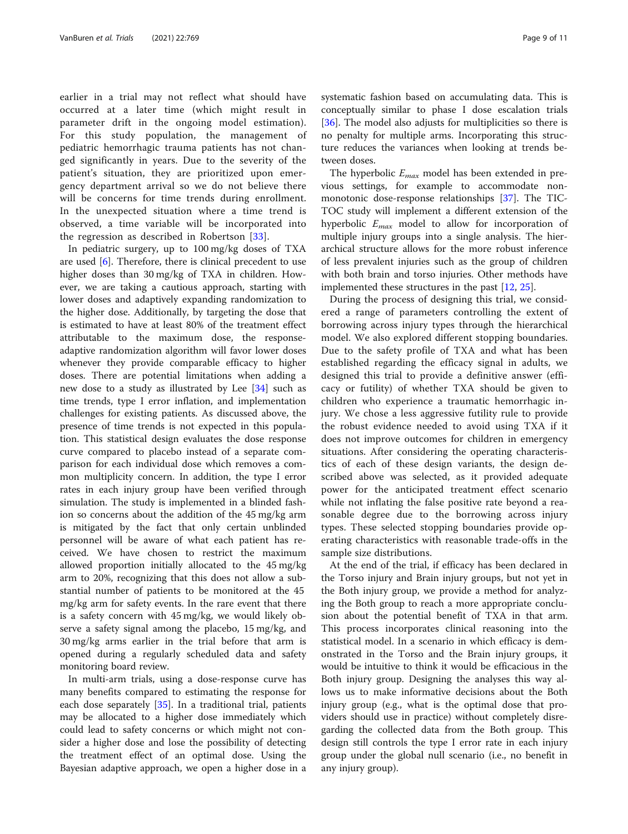earlier in a trial may not reflect what should have occurred at a later time (which might result in parameter drift in the ongoing model estimation). For this study population, the management of pediatric hemorrhagic trauma patients has not changed significantly in years. Due to the severity of the patient's situation, they are prioritized upon emergency department arrival so we do not believe there will be concerns for time trends during enrollment. In the unexpected situation where a time trend is observed, a time variable will be incorporated into the regression as described in Robertson [[33](#page-10-0)].

In pediatric surgery, up to 100 mg/kg doses of TXA are used [\[6](#page-9-0)]. Therefore, there is clinical precedent to use higher doses than 30 mg/kg of TXA in children. However, we are taking a cautious approach, starting with lower doses and adaptively expanding randomization to the higher dose. Additionally, by targeting the dose that is estimated to have at least 80% of the treatment effect attributable to the maximum dose, the responseadaptive randomization algorithm will favor lower doses whenever they provide comparable efficacy to higher doses. There are potential limitations when adding a new dose to a study as illustrated by Lee [[34\]](#page-10-0) such as time trends, type I error inflation, and implementation challenges for existing patients. As discussed above, the presence of time trends is not expected in this population. This statistical design evaluates the dose response curve compared to placebo instead of a separate comparison for each individual dose which removes a common multiplicity concern. In addition, the type I error rates in each injury group have been verified through simulation. The study is implemented in a blinded fashion so concerns about the addition of the 45 mg/kg arm is mitigated by the fact that only certain unblinded personnel will be aware of what each patient has received. We have chosen to restrict the maximum allowed proportion initially allocated to the 45 mg/kg arm to 20%, recognizing that this does not allow a substantial number of patients to be monitored at the 45 mg/kg arm for safety events. In the rare event that there is a safety concern with 45 mg/kg, we would likely observe a safety signal among the placebo, 15 mg/kg, and 30 mg/kg arms earlier in the trial before that arm is opened during a regularly scheduled data and safety monitoring board review.

In multi-arm trials, using a dose-response curve has many benefits compared to estimating the response for each dose separately [\[35](#page-10-0)]. In a traditional trial, patients may be allocated to a higher dose immediately which could lead to safety concerns or which might not consider a higher dose and lose the possibility of detecting the treatment effect of an optimal dose. Using the Bayesian adaptive approach, we open a higher dose in a systematic fashion based on accumulating data. This is conceptually similar to phase I dose escalation trials [[36\]](#page-10-0). The model also adjusts for multiplicities so there is no penalty for multiple arms. Incorporating this structure reduces the variances when looking at trends between doses.

The hyperbolic  $E_{max}$  model has been extended in previous settings, for example to accommodate nonmonotonic dose-response relationships [\[37\]](#page-10-0). The TIC-TOC study will implement a different extension of the hyperbolic  $E_{max}$  model to allow for incorporation of multiple injury groups into a single analysis. The hierarchical structure allows for the more robust inference of less prevalent injuries such as the group of children with both brain and torso injuries. Other methods have implemented these structures in the past [\[12](#page-9-0), [25](#page-10-0)].

During the process of designing this trial, we considered a range of parameters controlling the extent of borrowing across injury types through the hierarchical model. We also explored different stopping boundaries. Due to the safety profile of TXA and what has been established regarding the efficacy signal in adults, we designed this trial to provide a definitive answer (efficacy or futility) of whether TXA should be given to children who experience a traumatic hemorrhagic injury. We chose a less aggressive futility rule to provide the robust evidence needed to avoid using TXA if it does not improve outcomes for children in emergency situations. After considering the operating characteristics of each of these design variants, the design described above was selected, as it provided adequate power for the anticipated treatment effect scenario while not inflating the false positive rate beyond a reasonable degree due to the borrowing across injury types. These selected stopping boundaries provide operating characteristics with reasonable trade-offs in the sample size distributions.

At the end of the trial, if efficacy has been declared in the Torso injury and Brain injury groups, but not yet in the Both injury group, we provide a method for analyzing the Both group to reach a more appropriate conclusion about the potential benefit of TXA in that arm. This process incorporates clinical reasoning into the statistical model. In a scenario in which efficacy is demonstrated in the Torso and the Brain injury groups, it would be intuitive to think it would be efficacious in the Both injury group. Designing the analyses this way allows us to make informative decisions about the Both injury group (e.g., what is the optimal dose that providers should use in practice) without completely disregarding the collected data from the Both group. This design still controls the type I error rate in each injury group under the global null scenario (i.e., no benefit in any injury group).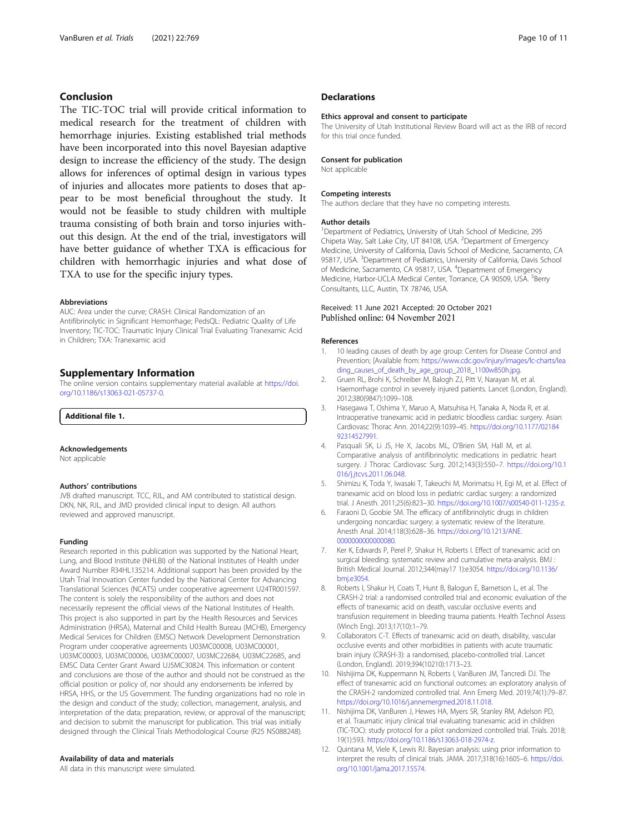# <span id="page-9-0"></span>Conclusion

The TIC-TOC trial will provide critical information to medical research for the treatment of children with hemorrhage injuries. Existing established trial methods have been incorporated into this novel Bayesian adaptive design to increase the efficiency of the study. The design allows for inferences of optimal design in various types of injuries and allocates more patients to doses that appear to be most beneficial throughout the study. It would not be feasible to study children with multiple trauma consisting of both brain and torso injuries without this design. At the end of the trial, investigators will have better guidance of whether TXA is efficacious for children with hemorrhagic injuries and what dose of TXA to use for the specific injury types.

#### Abbreviations

AUC: Area under the curve; CRASH: Clinical Randomization of an Antifibrinolytic in Significant Hemorrhage; PedsQL: Pediatric Quality of Life Inventory; TIC-TOC: Traumatic Injury Clinical Trial Evaluating Tranexamic Acid in Children; TXA: Tranexamic acid

# Supplementary Information

The online version contains supplementary material available at [https://doi.](https://doi.org/10.1186/s13063-021-05737-0) [org/10.1186/s13063-021-05737-0.](https://doi.org/10.1186/s13063-021-05737-0)

Additional file 1.

#### Acknowledgements

Not applicable

#### Authors' contributions

JVB drafted manuscript. TCC, RJL, and AM contributed to statistical design. DKN, NK, RJL, and JMD provided clinical input to design. All authors reviewed and approved manuscript.

#### Funding

Research reported in this publication was supported by the National Heart, Lung, and Blood Institute (NHLBI) of the National Institutes of Health under Award Number R34HL135214. Additional support has been provided by the Utah Trial Innovation Center funded by the National Center for Advancing Translational Sciences (NCATS) under cooperative agreement U24TR001597. The content is solely the responsibility of the authors and does not necessarily represent the official views of the National Institutes of Health. This project is also supported in part by the Health Resources and Services Administration (HRSA), Maternal and Child Health Bureau (MCHB), Emergency Medical Services for Children (EMSC) Network Development Demonstration Program under cooperative agreements U03MC00008, U03MC00001, U03MC00003, U03MC00006, U03MC00007, U03MC22684, U03MC22685, and EMSC Data Center Grant Award UJ5MC30824. This information or content and conclusions are those of the author and should not be construed as the official position or policy of, nor should any endorsements be inferred by HRSA, HHS, or the US Government. The funding organizations had no role in the design and conduct of the study; collection, management, analysis, and interpretation of the data; preparation, review, or approval of the manuscript; and decision to submit the manuscript for publication. This trial was initially designed through the Clinical Trials Methodological Course (R25 NS088248).

# Availability of data and materials

All data in this manuscript were simulated.

# **Declarations**

#### Ethics approval and consent to participate

The University of Utah Institutional Review Board will act as the IRB of record for this trial once funded.

#### Consent for publication

Not applicable

#### Competing interests

The authors declare that they have no competing interests.

#### Author details

<sup>1</sup>Department of Pediatrics, University of Utah School of Medicine, 295 Chipeta Way, Salt Lake City, UT 84108, USA. <sup>2</sup>Department of Emergency Medicine, University of California, Davis School of Medicine, Sacramento, CA 95817, USA. <sup>3</sup>Department of Pediatrics, University of California, Davis School of Medicine, Sacramento, CA 95817, USA. <sup>4</sup>Department of Emergency Medicine, Harbor-UCLA Medical Center, Torrance, CA 90509, USA. <sup>5</sup>Berry Consultants, LLC, Austin, TX 78746, USA.

# Received: 11 June 2021 Accepted: 20 October 2021<br>Published online: 04 November 2021

#### References

- 1. 10 leading causes of death by age group: Centers for Disease Control and Prevention; [Available from: [https://www.cdc.gov/injury/images/lc-charts/lea](https://www.cdc.gov/injury/images/lc-charts/leading_causes_of_death_by_age_group_2018_1100w850h.jpg) [ding\\_causes\\_of\\_death\\_by\\_age\\_group\\_2018\\_1100w850h.jpg](https://www.cdc.gov/injury/images/lc-charts/leading_causes_of_death_by_age_group_2018_1100w850h.jpg).
- 2. Gruen RL, Brohi K, Schreiber M, Balogh ZJ, Pitt V, Narayan M, et al. Haemorrhage control in severely injured patients. Lancet (London, England). 2012;380(9847):1099–108.
- 3. Hasegawa T, Oshima Y, Maruo A, Matsuhisa H, Tanaka A, Noda R, et al. Intraoperative tranexamic acid in pediatric bloodless cardiac surgery. Asian Cardiovasc Thorac Ann. 2014;22(9):1039–45. [https://doi.org/10.1177/02184](https://doi.org/10.1177/0218492314527991) [92314527991](https://doi.org/10.1177/0218492314527991).
- 4. Pasquali SK, Li JS, He X, Jacobs ML, O'Brien SM, Hall M, et al. Comparative analysis of antifibrinolytic medications in pediatric heart surgery. J Thorac Cardiovasc Surg. 2012;143(3):550–7. [https://doi.org/10.1](https://doi.org/10.1016/j.jtcvs.2011.06.048) [016/j.jtcvs.2011.06.048.](https://doi.org/10.1016/j.jtcvs.2011.06.048)
- Shimizu K, Toda Y, Iwasaki T, Takeuchi M, Morimatsu H, Egi M, et al. Effect of tranexamic acid on blood loss in pediatric cardiac surgery: a randomized trial. J Anesth. 2011;25(6):823–30. [https://doi.org/10.1007/s00540-011-1235-z.](https://doi.org/10.1007/s00540-011-1235-z)
- 6. Faraoni D, Goobie SM. The efficacy of antifibrinolytic drugs in children undergoing noncardiac surgery: a systematic review of the literature. Anesth Anal. 2014;118(3):628–36. [https://doi.org/10.1213/ANE.](https://doi.org/10.1213/ANE.0000000000000080) [0000000000000080](https://doi.org/10.1213/ANE.0000000000000080).
- Ker K, Edwards P, Perel P, Shakur H, Roberts I. Effect of tranexamic acid on surgical bleeding: systematic review and cumulative meta-analysis. BMJ : British Medical Journal. 2012;344(may17 1):e3054. [https://doi.org/10.1136/](https://doi.org/10.1136/bmj.e3054) [bmj.e3054](https://doi.org/10.1136/bmj.e3054).
- 8. Roberts I, Shakur H, Coats T, Hunt B, Balogun E, Barnetson L, et al. The CRASH-2 trial: a randomised controlled trial and economic evaluation of the effects of tranexamic acid on death, vascular occlusive events and transfusion requirement in bleeding trauma patients. Health Technol Assess (Winch Eng). 2013;17(10):1–79.
- 9. Collaborators C-T. Effects of tranexamic acid on death, disability, vascular occlusive events and other morbidities in patients with acute traumatic brain injury (CRASH-3): a randomised, placebo-controlled trial. Lancet (London, England). 2019;394(10210):1713–23.
- 10. Nishijima DK, Kuppermann N, Roberts I, VanBuren JM, Tancredi DJ. The effect of tranexamic acid on functional outcomes: an exploratory analysis of the CRASH-2 randomized controlled trial. Ann Emerg Med. 2019;74(1):79–87. <https://doi.org/10.1016/j.annemergmed.2018.11.018>.
- 11. Nishijima DK, VanBuren J, Hewes HA, Myers SR, Stanley RM, Adelson PD, et al. Traumatic injury clinical trial evaluating tranexamic acid in children (TIC-TOC): study protocol for a pilot randomized controlled trial. Trials. 2018; 19(1):593. <https://doi.org/10.1186/s13063-018-2974-z>.
- 12. Quintana M, Viele K, Lewis RJ. Bayesian analysis: using prior information to interpret the results of clinical trials. JAMA. 2017;318(16):1605–6. [https://doi.](https://doi.org/10.1001/jama.2017.15574) [org/10.1001/jama.2017.15574.](https://doi.org/10.1001/jama.2017.15574)